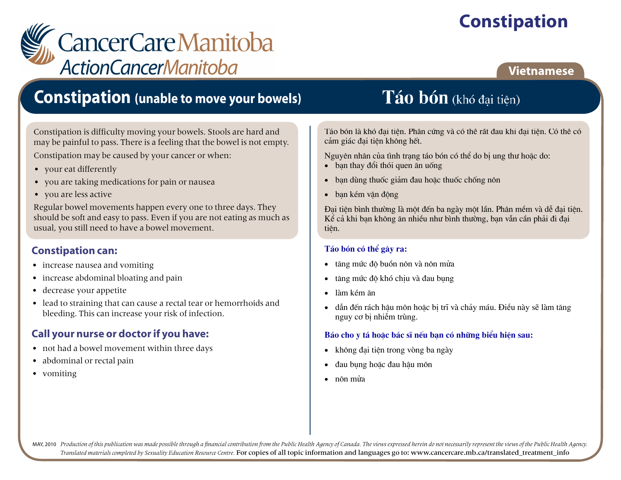# **Constipation**

# *L* CancerCareManitoba **ActionCancerManitoba**

### **Vietnamese**

# **Constipation (unable to move your bowels)**

Constipation is difficulty moving your bowels. Stools are hard and may be painful to pass. There is a feeling that the bowel is not empty.

Constipation may be caused by your cancer or when:

- vour eat differently
- you are taking medications for pain or nausea
- you are less active

Regular bowel movements happen every one to three days. They should be soft and easy to pass. Even if you are not eating as much as usual, you still need to have a bowel movement.

### **Constipation can:**

- increase nausea and vomiting
- increase abdominal bloating and pain  $\bullet$
- decrease your appetite  $\bullet$
- lead to straining that can cause a rectal tear or hemorrhoids and bleeding. This can increase your risk of infection.

### **Call your nurse or doctor if you have:**

- not had a bowel movement within three days
- abdominal or rectal pain  $\bullet$
- vomiting

# Táo bón (khó đại tiện)

Táo bón là khó đại tiên. Phân cứng và có thể rất đau khi đại tiên. Có thể có cảm giác đai tiện không hết.

Nguyên nhân của tình trang táo bón có thể do bi ung thư hoặc do:

- $\bullet$  ban thay đổi thói quen ăn uống
- ban dùng thuốc giảm đau hoặc thuốc chống nôn  $\bullet$
- ban kém vân đông  $\bullet$

Đai tiện bình thường là một đến ba ngày một lần. Phân mềm và dễ đai tiện. Kể cả khi ban không ăn nhiều như bình thường, ban vẫn cần phải đi đai tiên.

#### Táo bón có thể gây ra:

- tăng mức độ buồn nôn và nôn mửa  $\bullet$
- tăng mức độ khó chiu và đau bung  $\bullet$
- làm kém ăn
- dẫn đến rách hâu môn hoặc bị trĩ và chảy máu. Điều này sẽ làm tăng  $\bullet$ nguy cơ bi nhiễm trùng.

#### Báo cho y tá hoặc bác sĩ nếu ban có những biểu hiện sau:

- không đai tiên trong vòng ba ngày  $\bullet$
- đau bung hoặc đau hâu môn  $\bullet$
- nôn mửa

MAY, 2010 Production of this publication was made possible through a financial contribution from the Public Health Agency of Canada. The views expressed herein do not necessarily represent the views of the Public Health Ag Translated materials completed by Sexuality Education Resource Centre. For copies of all topic information and languages go to: www.cancercare.mb.ca/translated\_treatment\_info